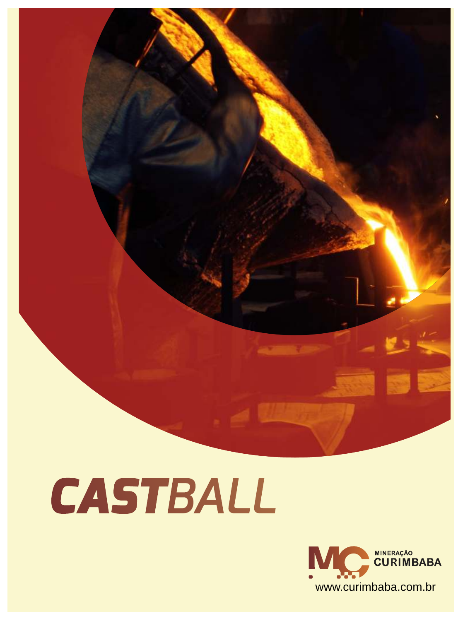



**ALCOHOL: AND**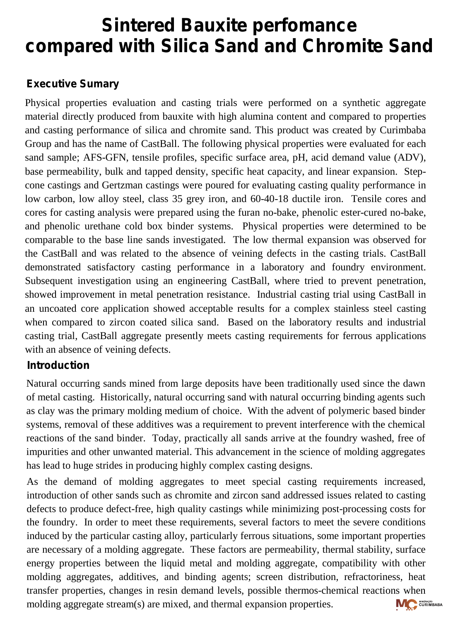# **Sintered Bauxite perfomance compared with Silica Sand and Chromite Sand**

# **Executive Sumary**

Physical properties evaluation and casting trials were performed on a synthetic aggregate material directly produced from bauxite with high alumina content and compared to properties and casting performance of silica and chromite sand. This product was created by Curimbaba Group and has the name of CastBall. The following physical properties were evaluated for each sand sample; AFS-GFN, tensile profiles, specific surface area, pH, acid demand value (ADV), base permeability, bulk and tapped density, specific heat capacity, and linear expansion. Stepcone castings and Gertzman castings were poured for evaluating casting quality performance in low carbon, low alloy steel, class 35 grey iron, and 60-40-18 ductile iron. Tensile cores and cores for casting analysis were prepared using the furan no-bake, phenolic ester-cured no-bake, and phenolic urethane cold box binder systems. Physical properties were determined to be comparable to the base line sands investigated. The low thermal expansion was observed for the CastBall and was related to the absence of veining defects in the casting trials. CastBall demonstrated satisfactory casting performance in a laboratory and foundry environment. Subsequent investigation using an engineering CastBall, where tried to prevent penetration, showed improvement in metal penetration resistance. Industrial casting trial using CastBall in an uncoated core application showed acceptable results for a complex stainless steel casting when compared to zircon coated silica sand. Based on the laboratory results and industrial casting trial, CastBall aggregate presently meets casting requirements for ferrous applications with an absence of veining defects.

## **Introduction**

Natural occurring sands mined from large deposits have been traditionally used since the dawn of metal casting. Historically, natural occurring sand with natural occurring binding agents such as clay was the primary molding medium of choice. With the advent of polymeric based binder systems, removal of these additives was a requirement to prevent interference with the chemical reactions of the sand binder. Today, practically all sands arrive at the foundry washed, free of impurities and other unwanted material. This advancement in the science of molding aggregates has lead to huge strides in producing highly complex casting designs.

As the demand of molding aggregates to meet special casting requirements increased, introduction of other sands such as chromite and zircon sand addressed issues related to casting defects to produce defect-free, high quality castings while minimizing post-processing costs for the foundry. In order to meet these requirements, several factors to meet the severe conditions induced by the particular casting alloy, particularly ferrous situations, some important properties are necessary of a molding aggregate. These factors are permeability, thermal stability, surface energy properties between the liquid metal and molding aggregate, compatibility with other molding aggregates, additives, and binding agents; screen distribution, refractoriness, heat transfer properties, changes in resin demand levels, possible thermos-chemical reactions when molding aggregate stream(s) are mixed, and thermal expansion properties.**MC** CURIMBABA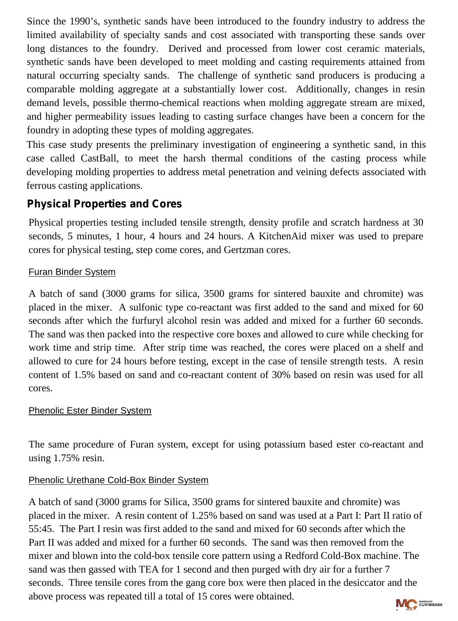Since the 1990's, synthetic sands have been introduced to the foundry industry to address the limited availability of specialty sands and cost associated with transporting these sands over long distances to the foundry. Derived and processed from lower cost ceramic materials, synthetic sands have been developed to meet molding and casting requirements attained from natural occurring specialty sands. The challenge of synthetic sand producers is producing a comparable molding aggregate at a substantially lower cost. Additionally, changes in resin demand levels, possible thermo-chemical reactions when molding aggregate stream are mixed, and higher permeability issues leading to casting surface changes have been a concern for the foundry in adopting these types of molding aggregates.

This case study presents the preliminary investigation of engineering a synthetic sand, in this case called CastBall, to meet the harsh thermal conditions of the casting process while developing molding properties to address metal penetration and veining defects associated with ferrous casting applications.

# **Physical Properties and Cores**

Physical properties testing included tensile strength, density profile and scratch hardness at 30 seconds, 5 minutes, 1 hour, 4 hours and 24 hours. A KitchenAid mixer was used to prepare cores for physical testing, step come cores, and Gertzman cores.

#### Furan Binder System

A batch of sand (3000 grams for silica, 3500 grams for sintered bauxite and chromite) was placed in the mixer. A sulfonic type co-reactant was first added to the sand and mixed for 60 seconds after which the furfuryl alcohol resin was added and mixed for a further 60 seconds. The sand was then packed into the respective core boxes and allowed to cure while checking for work time and strip time. After strip time was reached, the cores were placed on a shelf and allowed to cure for 24 hours before testing, except in the case of tensile strength tests. A resin content of 1.5% based on sand and co-reactant content of 30% based on resin was used for all cores.

#### Phenolic Ester Binder System

The same procedure of Furan system, except for using potassium based ester co-reactant and using 1.75% resin.

#### Phenolic Urethane Cold-Box Binder System

A batch of sand (3000 grams for Silica, 3500 grams for sintered bauxite and chromite) was placed in the mixer. A resin content of 1.25% based on sand was used at a Part I: Part II ratio of 55:45. The Part I resin was first added to the sand and mixed for 60 seconds after which the Part II was added and mixed for a further 60 seconds. The sand was then removed from the mixer and blown into the cold-box tensile core pattern using a Redford Cold-Box machine. The sand was then gassed with TEA for 1 second and then purged with dry air for a further 7 seconds. Three tensile cores from the gang core box were then placed in the desiccator and the above process was repeated till a total of 15 cores were obtained.

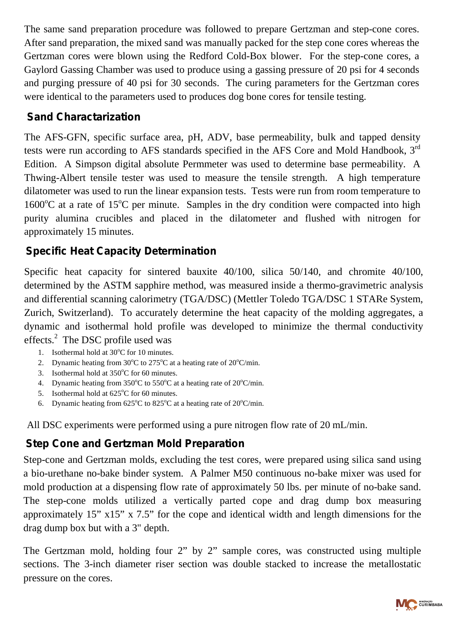The same sand preparation procedure was followed to prepare Gertzman and step-cone cores. After sand preparation, the mixed sand was manually packed for the step cone cores whereas the Gertzman cores were blown using the Redford Cold-Box blower. For the step-cone cores, a Gaylord Gassing Chamber was used to produce using a gassing pressure of 20 psi for 4 seconds and purging pressure of 40 psi for 30 seconds. The curing parameters for the Gertzman cores were identical to the parameters used to produces dog bone cores for tensile testing.

## **Sand Charactarization**

The AFS-GFN, specific surface area, pH, ADV, base permeability, bulk and tapped density tests were run according to AFS standards specified in the AFS Core and Mold Handbook, 3<sup>rd</sup> Edition. A Simpson digital absolute Permmeter was used to determine base permeability. A Thwing-Albert tensile tester was used to measure the tensile strength. A high temperature dilatometer was used to run the linear expansion tests. Tests were run from room temperature to  $1600^{\circ}$ C at a rate of 15<sup>o</sup>C per minute. Samples in the dry condition were compacted into high purity alumina crucibles and placed in the dilatometer and flushed with nitrogen for approximately 15 minutes.

# **Specific Heat Capacity Determination**

Specific heat capacity for sintered bauxite 40/100, silica 50/140, and chromite 40/100, determined by the ASTM sapphire method, was measured inside a thermo-gravimetric analysis and differential scanning calorimetry (TGA/DSC) (Mettler Toledo TGA/DSC 1 STARe System, Zurich, Switzerland). To accurately determine the heat capacity of the molding aggregates, a dynamic and isothermal hold profile was developed to minimize the thermal conductivity effects.<sup>2</sup> The DSC profile used was

- 1. Isothermal hold at  $30^{\circ}$ C for 10 minutes.
- 2. Dynamic heating from  $30^{\circ}$ C to  $275^{\circ}$ C at a heating rate of  $20^{\circ}$ C/min.
- 3. Isothermal hold at  $350^{\circ}$ C for 60 minutes.
- 4. Dynamic heating from  $350^{\circ}$ C to  $550^{\circ}$ C at a heating rate of  $20^{\circ}$ C/min.
- 5. Isothermal hold at  $625^{\circ}$ C for 60 minutes.
- 6. Dynamic heating from  $625^{\circ}$ C to  $825^{\circ}$ C at a heating rate of  $20^{\circ}$ C/min.

All DSC experiments were performed using a pure nitrogen flow rate of 20 mL/min.

# **Step Cone and Gertzman Mold Preparation**

Step-cone and Gertzman molds, excluding the test cores, were prepared using silica sand using a bio-urethane no-bake binder system. A Palmer M50 continuous no-bake mixer was used for mold production at a dispensing flow rate of approximately 50 lbs. per minute of no-bake sand. The step-cone molds utilized a vertically parted cope and drag dump box measuring approximately 15" x15" x 7.5" for the cope and identical width and length dimensions for the drag dump box but with a 3" depth.

The Gertzman mold, holding four 2" by 2" sample cores, was constructed using multiple sections. The 3-inch diameter riser section was double stacked to increase the metallostatic pressure on the cores.

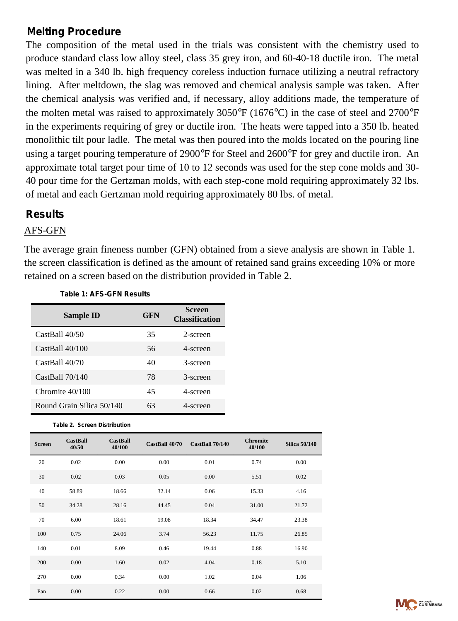## **Melting Procedure**

The composition of the metal used in the trials was consistent with the chemistry used to produce standard class low alloy steel, class 35 grey iron, and 60-40-18 ductile iron. The metal was melted in a 340 lb. high frequency coreless induction furnace utilizing a neutral refractory lining. After meltdown, the slag was removed and chemical analysis sample was taken. After the chemical analysis was verified and, if necessary, alloy additions made, the temperature of the molten metal was raised to approximately  $3050^{\circ}F (1676^{\circ}C)$  in the case of steel and  $2700^{\circ}F$ in the experiments requiring of grey or ductile iron. The heats were tapped into a 350 lb. heated monolithic tilt pour ladle. The metal was then poured into the molds located on the pouring line using a target pouring temperature of 2900°F for Steel and 2600°F for grey and ductile iron. An approximate total target pour time of 10 to 12 seconds was used for the step cone molds and 30- 40 pour time for the Gertzman molds, with each step-cone mold requiring approximately 32 lbs. of metal and each Gertzman mold requiring approximately 80 lbs. of metal.

## **Results**

#### AFS-GFN

The average grain fineness number (GFN) obtained from a sieve analysis are shown in Table 1. the screen classification is defined as the amount of retained sand grains exceeding 10% or more retained on a screen based on the distribution provided in Table 2.

| Sample ID                 | GFN | <b>Screen</b><br><b>Classification</b> |
|---------------------------|-----|----------------------------------------|
| CastBall 40/50            | 35  | 2-screen                               |
| CastBall 40/100           | 56  | 4-screen                               |
| CastBall 40/70            | 40  | 3-screen                               |
| CastBall 70/140           | 78  | 3-screen                               |
| Chromite $40/100$         | 45  | 4-screen                               |
| Round Grain Silica 50/140 | 63  | 4-screen                               |

#### *Table 1: AFS-GFN Results*

*Table 2. Screen Distribution*

| <b>Screen</b> | <b>CastBall</b><br>40/50 | <b>CastBall</b><br>40/100 | CastBall 40/70 | CastBall 70/140 | <b>Chromite</b><br>40/100 | <b>Silica 50/140</b> |
|---------------|--------------------------|---------------------------|----------------|-----------------|---------------------------|----------------------|
| 20            | 0.02                     | 0.00                      | 0.00           | 0.01            | 0.74                      | 0.00                 |
| 30            | 0.02                     | 0.03                      | 0.05           | 0.00            | 5.51                      | 0.02                 |
| 40            | 58.89                    | 18.66                     | 32.14          | 0.06            | 15.33                     | 4.16                 |
| 50            | 34.28                    | 28.16                     | 44.45          | 0.04            | 31.00                     | 21.72                |
| 70            | 6.00                     | 18.61                     | 19.08          | 18.34           | 34.47                     | 23.38                |
| 100           | 0.75                     | 24.06                     | 3.74           | 56.23           | 11.75                     | 26.85                |
| 140           | 0.01                     | 8.09                      | 0.46           | 19.44           | 0.88                      | 16.90                |
| 200           | 0.00                     | 1.60                      | 0.02           | 4.04            | 0.18                      | 5.10                 |
| 270           | 0.00                     | 0.34                      | 0.00           | 1.02            | 0.04                      | 1.06                 |
| Pan           | 0.00                     | 0.22                      | 0.00           | 0.66            | 0.02                      | 0.68                 |

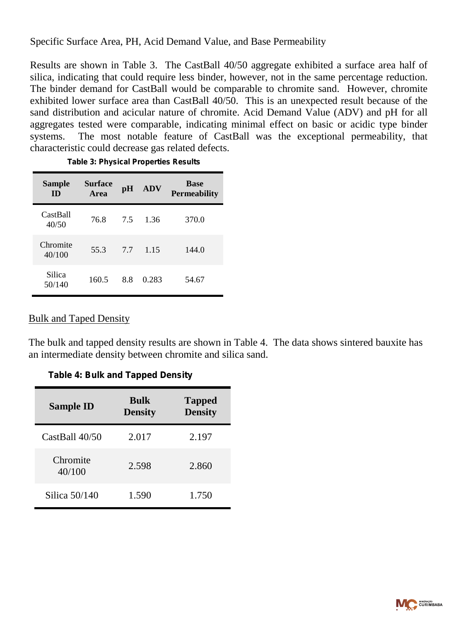Specific Surface Area, PH, Acid Demand Value, and Base Permeability

Results are shown in Table 3. The CastBall 40/50 aggregate exhibited a surface area half of silica, indicating that could require less binder, however, not in the same percentage reduction. The binder demand for CastBall would be comparable to chromite sand. However, chromite exhibited lower surface area than CastBall 40/50. This is an unexpected result because of the sand distribution and acicular nature of chromite. Acid Demand Value (ADV) and pH for all aggregates tested were comparable, indicating minimal effect on basic or acidic type binder systems. The most notable feature of CastBall was the exceptional permeability, that characteristic could decrease gas related defects.

| <b>Sample</b><br><b>ID</b> | <b>Surface</b><br>Area | pH  | <b>ADV</b> | <b>Base</b><br><b>Permeability</b> |
|----------------------------|------------------------|-----|------------|------------------------------------|
| CastBall<br>40/50          | 76.8                   | 7.5 | 1.36       | 370.0                              |
| Chromite<br>40/100         | 55.3                   | 77  | 1.15       | 144.0                              |
| Silica<br>50/140           | 160.5                  | 8.8 | 0.283      | 54.67                              |

| <b>Table 3: Physical Properties Results</b> |
|---------------------------------------------|
|---------------------------------------------|

#### Bulk and Taped Density

The bulk and tapped density results are shown in Table 4. The data shows sintered bauxite has an intermediate density between chromite and silica sand.

| <b>Sample ID</b>   | <b>Bulk</b><br><b>Density</b> | <b>Tapped</b><br><b>Density</b> |
|--------------------|-------------------------------|---------------------------------|
| CastBall 40/50     | 2.017                         | 2.197                           |
| Chromite<br>40/100 | 2.598                         | 2.860                           |
| Silica $50/140$    | 1.590                         | 1.750                           |

*Table 4: Bulk and Tapped Density*

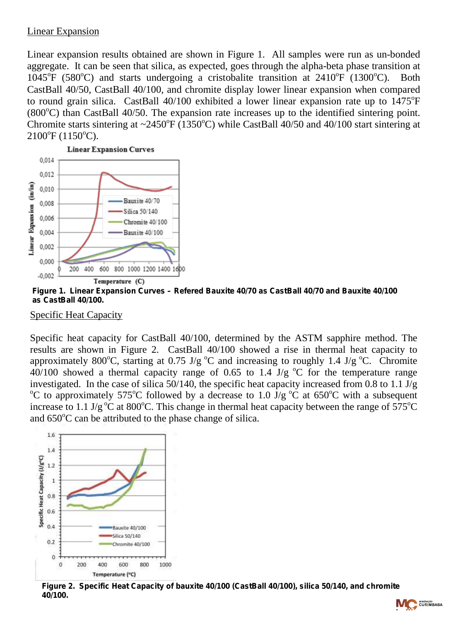#### Linear Expansion

Linear expansion results obtained are shown in Figure 1. All samples were run as un-bonded aggregate. It can be seen that silica, as expected, goes through the alpha-beta phase transition at  $1045^{\circ}$ F (580°C) and starts undergoing a cristobalite transition at 2410°F (1300°C). Both CastBall 40/50, CastBall 40/100, and chromite display lower linear expansion when compared to round grain silica. CastBall  $40/100$  exhibited a lower linear expansion rate up to  $1475^{\circ}$ F  $(800^{\circ}$ C) than CastBall 40/50. The expansion rate increases up to the identified sintering point. Chromite starts sintering at  $\sim$ 2450°F (1350°C) while CastBall 40/50 and 40/100 start sintering at  $2100^{\circ}$ F (1150 $^{\circ}$ C).



*Figure 1. Linear Expansion Curves – Refered Bauxite 40/70 as CastBall 40/70 and Bauxite 40/100 as CastBall 40/100.*

Specific Heat Capacity

Specific heat capacity for CastBall 40/100, determined by the ASTM sapphire method. The results are shown in Figure 2. CastBall 40/100 showed a rise in thermal heat capacity to approximately 800°C, starting at 0.75 J/g °C and increasing to roughly 1.4 J/g °C. Chromite  $40/100$  showed a thermal capacity range of 0.65 to 1.4 J/g  $^{\circ}$ C for the temperature range investigated. In the case of silica 50/140, the specific heat capacity increased from 0.8 to 1.1 J/g °C to approximately 575°C followed by a decrease to 1.0  $\bar{J}/g$  °C at 650°C with a subsequent increase to 1.1 J/g<sup>o</sup>C at 800<sup>o</sup>C. This change in thermal heat capacity between the range of 575<sup>o</sup>C and  $650^{\circ}$ C can be attributed to the phase change of silica.



*Figure 2. Specific Heat Capacity of bauxite 40/100 (CastBall 40/100), silica 50/140, and chromite 40/100.*

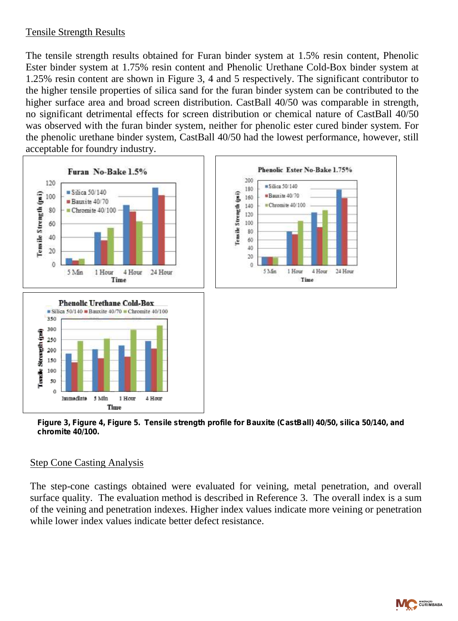#### Tensile Strength Results

The tensile strength results obtained for Furan binder system at 1.5% resin content, Phenolic Ester binder system at 1.75% resin content and Phenolic Urethane Cold-Box binder system at 1.25% resin content are shown in Figure 3, 4 and 5 respectively. The significant contributor to the higher tensile properties of silica sand for the furan binder system can be contributed to the higher surface area and broad screen distribution. CastBall 40/50 was comparable in strength, no significant detrimental effects for screen distribution or chemical nature of CastBall 40/50 was observed with the furan binder system, neither for phenolic ester cured binder system. For the phenolic urethane binder system, CastBall 40/50 had the lowest performance, however, still acceptable for foundry industry.



*Figure 3, Figure 4, Figure 5. Tensile strength profile for Bauxite (CastBall) 40/50, silica 50/140, and chromite 40/100.*

#### Step Cone Casting Analysis

The step-cone castings obtained were evaluated for veining, metal penetration, and overall surface quality. The evaluation method is described in Reference 3. The overall index is a sum of the veining and penetration indexes. Higher index values indicate more veining or penetration while lower index values indicate better defect resistance.

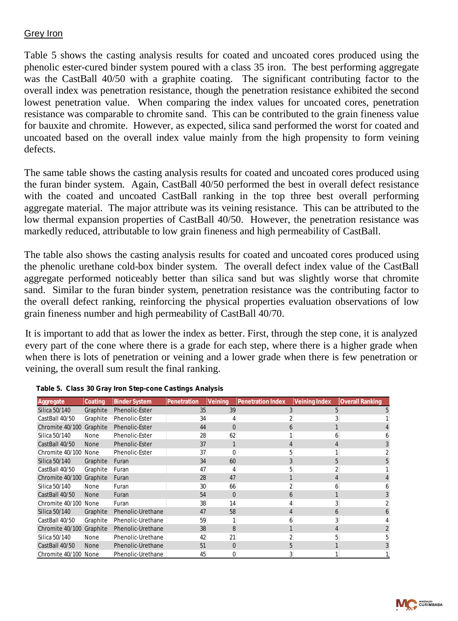#### Grey Iron

Table 5 shows the casting analysis results for coated and uncoated cores produced using the phenolic ester-cured binder system poured with a class 35 iron. The best performing aggregate was the CastBall 40/50 with a graphite coating. The significant contributing factor to the overall index was penetration resistance, though the penetration resistance exhibited the second lowest penetration value. When comparing the index values for uncoated cores, penetration resistance was comparable to chromite sand. This can be contributed to the grain fineness value for bauxite and chromite. However, as expected, silica sand performed the worst for coated and uncoated based on the overall index value mainly from the high propensity to form veining defects.

The same table shows the casting analysis results for coated and uncoated cores produced using the furan binder system. Again, CastBall 40/50 performed the best in overall defect resistance with the coated and uncoated CastBall ranking in the top three best overall performing aggregate material. The major attribute was its veining resistance. This can be attributed to the low thermal expansion properties of CastBall 40/50. However, the penetration resistance was markedly reduced, attributable to low grain fineness and high permeability of CastBall.

The table also shows the casting analysis results for coated and uncoated cores produced using the phenolic urethane cold-box binder system. The overall defect index value of the CastBall aggregate performed noticeably better than silica sand but was slightly worse that chromite sand. Similar to the furan binder system, penetration resistance was the contributing factor to the overall defect ranking, reinforcing the physical properties evaluation observations of low grain fineness number and high permeability of CastBall 40/70.

It is important to add that as lower the index as better. First, through the step cone, it is analyzed every part of the cone where there is a grade for each step, where there is a higher grade when when there is lots of penetration or veining and a lower grade when there is few penetration or veining, the overall sum result the final ranking.

| Aggregate            | Coating     | <b>Binder System</b>  | Penetration | Veining  | <b>Penetration Index</b> | Veining Index | Overall Ranking |
|----------------------|-------------|-----------------------|-------------|----------|--------------------------|---------------|-----------------|
| Silica 50/140        | Graphite    | Phenolic-Ester        | 35          | 39       |                          |               |                 |
| CastBall 40/50       | Graphite    | Phenolic-Ester        | 34          |          |                          |               |                 |
| Chromite 40/100      | Graphite    | Phenolic-Ester        | 44          | 0        |                          |               |                 |
| Silica 50/140        | None        | Phenolic-Ester        | 28          | 62       |                          |               |                 |
| CastBall 40/50       | <b>None</b> | Phenolic-Ester        | 37          |          |                          |               |                 |
| Chromite 40/100 None |             | <b>Phenolic-Ester</b> | 37          | 0        |                          |               |                 |
| Silica 50/140        | Graphite    | Furan                 | 34          | 60       |                          |               |                 |
| CastBall 40/50       | Graphite    | Furan                 | 47          | 4        |                          | h             |                 |
| Chromite 40/100      | Graphite    | Furan                 | 28          | 47       |                          |               |                 |
| Silica 50/140        | None        | Furan                 | 30          | 66       |                          |               |                 |
| CastBall 40/50       | <b>None</b> | Furan                 | 54          | $\Omega$ | b                        |               |                 |
| Chromite 40/100 None |             | Furan                 | 38          | 14       |                          | 4             |                 |
| Silica 50/140        | Graphite    | Phenolic-Urethane     | 47          | 58       |                          |               |                 |
| CastBall 40/50       | Graphite    | Phenolic-Urethane     | 59          |          |                          |               |                 |
| Chromite 40/100      | Graphite    | Phenolic-Urethane     | 38          | 8        |                          |               |                 |
| Silica 50/140        | None        | Phenolic-Urethane     | 42          | 21       |                          |               |                 |
| CastBall 40/50       | <b>None</b> | Phenolic-Urethane     | 51          | 0        |                          |               |                 |
| Chromite 40/100 None |             | Phenolic-Urethane     | 45          | 0        |                          |               |                 |

#### *Table 5. Class 30 Gray Iron Step-cone Castings Analysis*

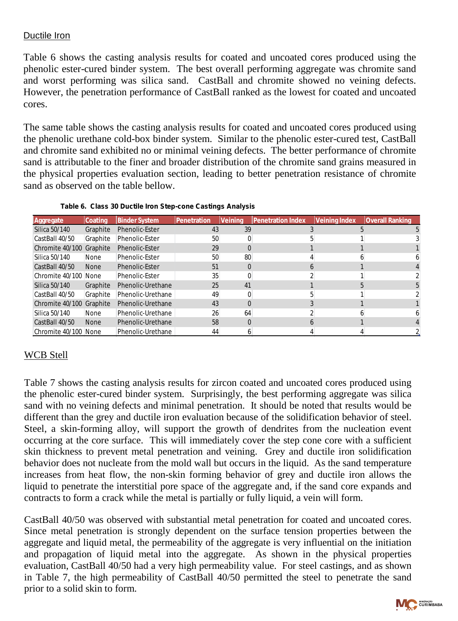#### Ductile Iron

Table 6 shows the casting analysis results for coated and uncoated cores produced using the phenolic ester-cured binder system. The best overall performing aggregate was chromite sand and worst performing was silica sand. CastBall and chromite showed no veining defects. However, the penetration performance of CastBall ranked as the lowest for coated and uncoated cores.

The same table shows the casting analysis results for coated and uncoated cores produced using the phenolic urethane cold-box binder system. Similar to the phenolic ester-cured test, CastBall and chromite sand exhibited no or minimal veining defects. The better performance of chromite sand is attributable to the finer and broader distribution of the chromite sand grains measured in the physical properties evaluation section, leading to better penetration resistance of chromite sand as observed on the table bellow.

| Aggregate                | lCoating    | <b>Binder System</b> | Penetration | Veinina | <b>IPenetration Index</b> | Veining Index | <b>Overall Ranking</b> |  |
|--------------------------|-------------|----------------------|-------------|---------|---------------------------|---------------|------------------------|--|
| Silica 50/140            | Graphite    | Phenolic-Ester       | 43          | 39      |                           |               |                        |  |
| CastBall 40/50           | Graphite    | Phenolic-Ester       | 50          |         |                           |               |                        |  |
| Chromite 40/100          | Graphite    | Phenolic-Ester       | 29          |         |                           |               |                        |  |
| Silica 50/140            | None        | Phenolic-Ester       | 50          | 80      |                           |               |                        |  |
| CastBall 40/50           | <b>None</b> | Phenolic-Ester       | 51          |         |                           |               |                        |  |
| Chromite 40/100          | <b>None</b> | Phenolic-Ester       | 35          |         |                           |               |                        |  |
| Silica 50/140            | Graphite    | Phenolic-Urethane    | 25          | 41      |                           |               |                        |  |
| CastBall 40/50           | Graphite    | Phenolic-Urethane    | 49          |         |                           |               |                        |  |
| Chromite 40/100 Graphite |             | Phenolic-Urethane    | 43          |         |                           |               |                        |  |
| Silica 50/140            | None        | Phenolic-Urethane    | 26          | 64      |                           |               |                        |  |
| CastBall 40/50           | <b>None</b> | Phenolic-Urethane    | 58          |         |                           |               |                        |  |
| Chromite 40/100          | <b>None</b> | Phenolic-Urethane    | 44          |         |                           |               |                        |  |

|  | Table 6. Class 30 Ductile Iron Step-cone Castings Analysis |  |
|--|------------------------------------------------------------|--|
|  |                                                            |  |

## WCB Stell

Table 7 shows the casting analysis results for zircon coated and uncoated cores produced using the phenolic ester-cured binder system. Surprisingly, the best performing aggregate was silica sand with no veining defects and minimal penetration. It should be noted that results would be different than the grey and ductile iron evaluation because of the solidification behavior of steel. Steel, a skin-forming alloy, will support the growth of dendrites from the nucleation event occurring at the core surface. This will immediately cover the step cone core with a sufficient skin thickness to prevent metal penetration and veining. Grey and ductile iron solidification behavior does not nucleate from the mold wall but occurs in the liquid. As the sand temperature increases from heat flow, the non-skin forming behavior of grey and ductile iron allows the liquid to penetrate the interstitial pore space of the aggregate and, if the sand core expands and contracts to form a crack while the metal is partially or fully liquid, a vein will form.

CastBall 40/50 was observed with substantial metal penetration for coated and uncoated cores. Since metal penetration is strongly dependent on the surface tension properties between the aggregate and liquid metal, the permeability of the aggregate is very influential on the initiation and propagation of liquid metal into the aggregate. As shown in the physical properties evaluation, CastBall 40/50 had a very high permeability value. For steel castings, and as shown in Table 7, the high permeability of CastBall 40/50 permitted the steel to penetrate the sand prior to a solid skin to form.

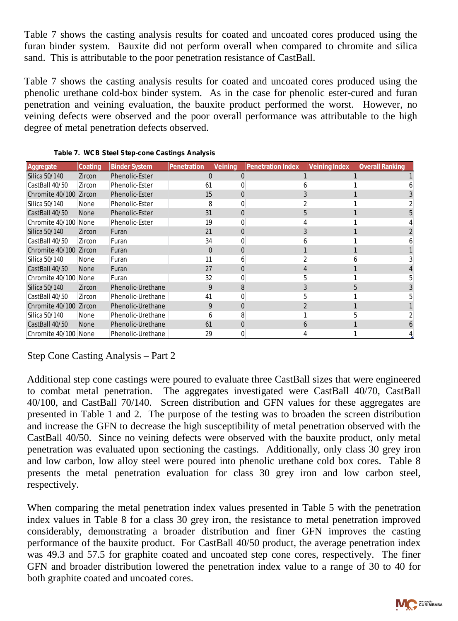Table 7 shows the casting analysis results for coated and uncoated cores produced using the furan binder system. Bauxite did not perform overall when compared to chromite and silica sand. This is attributable to the poor penetration resistance of CastBall.

Table 7 shows the casting analysis results for coated and uncoated cores produced using the phenolic urethane cold-box binder system. As in the case for phenolic ester-cured and furan penetration and veining evaluation, the bauxite product performed the worst. However, no veining defects were observed and the poor overall performance was attributable to the high degree of metal penetration defects observed.

| Aggregate              | Coating     | <b>Binder System</b> | lPenetration      | Veinina | <b>Penetration Index</b> | Veining Index | Overall Ranking |
|------------------------|-------------|----------------------|-------------------|---------|--------------------------|---------------|-----------------|
| Silica 50/140          | Zircon      | Phenolic-Ester       | 0                 | 0       |                          |               |                 |
| CastBall 40/50         | Zircon      | Phenolic-Ester       | 61                |         |                          |               |                 |
| Chromite 40/100 Zircon |             | Phenolic-Ester       | 15                |         |                          |               |                 |
| Silica 50/140          | None        | Phenolic-Ester       | 8                 |         |                          |               |                 |
| CastBall 40/50         | <b>None</b> | Phenolic-Ester       | 31                |         |                          |               |                 |
| Chromite 40/100 None   |             | Phenolic-Ester       | 19                |         |                          |               |                 |
| Silica 50/140          | Zircon      | Furan                | 21                |         |                          |               |                 |
| CastBall 40/50         | Zircon      | Furan                | 34                |         |                          |               |                 |
| Chromite 40/100 Zircon |             | Furan                | $\mathbf{\Omega}$ |         |                          |               |                 |
| Silica 50/140          | None        | Furan                | 11                | b       |                          |               |                 |
| CastBall 40/50         | <b>None</b> | Furan                | 27                |         |                          |               |                 |
| Chromite 40/100 None   |             | Furan                | 32                |         |                          |               |                 |
| Silica 50/140          | Zircon      | Phenolic-Urethane    | 9                 |         |                          |               |                 |
| CastBall 40/50         | Zircon      | Phenolic-Urethane    | 41                |         |                          |               |                 |
| Chromite 40/100 Zircon |             | Phenolic-Urethane    | 9                 |         |                          |               |                 |
| Silica 50/140          | None        | Phenolic-Urethane    | h                 |         |                          |               |                 |
| CastBall 40/50         | <b>None</b> | Phenolic-Urethane    | 61                |         |                          |               |                 |
| Chromite 40/100 None   |             | Phenolic-Urethane    | 29                |         |                          |               |                 |

*Table 7. WCB Steel Step-cone Castings Analysis*

#### Step Cone Casting Analysis – Part 2

Additional step cone castings were poured to evaluate three CastBall sizes that were engineered to combat metal penetration. The aggregates investigated were CastBall 40/70, CastBall 40/100, and CastBall 70/140. Screen distribution and GFN values for these aggregates are presented in Table 1 and 2. The purpose of the testing was to broaden the screen distribution and increase the GFN to decrease the high susceptibility of metal penetration observed with the CastBall 40/50. Since no veining defects were observed with the bauxite product, only metal penetration was evaluated upon sectioning the castings. Additionally, only class 30 grey iron and low carbon, low alloy steel were poured into phenolic urethane cold box cores. Table 8 presents the metal penetration evaluation for class 30 grey iron and low carbon steel, respectively.

When comparing the metal penetration index values presented in Table 5 with the penetration index values in Table 8 for a class 30 grey iron, the resistance to metal penetration improved considerably, demonstrating a broader distribution and finer GFN improves the casting performance of the bauxite product. For CastBall 40/50 product, the average penetration index was 49.3 and 57.5 for graphite coated and uncoated step cone cores, respectively. The finer GFN and broader distribution lowered the penetration index value to a range of 30 to 40 for both graphite coated and uncoated cores.

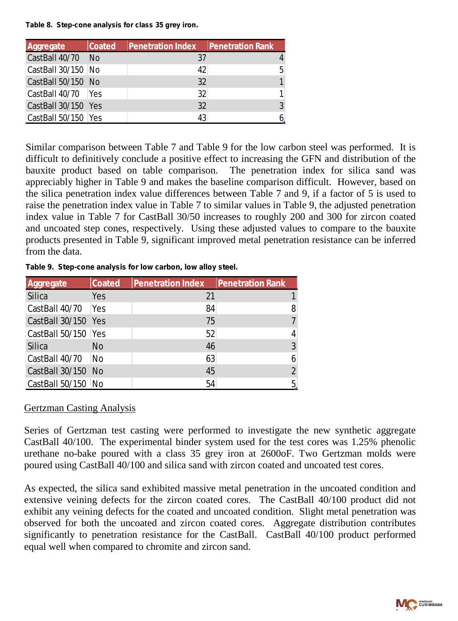#### *Table 8. Step-cone analysis for class 35 grey iron.*

| Aggregate            | Coated | <b>Penetration Index</b> | <b>Penetration Rank</b> |   |
|----------------------|--------|--------------------------|-------------------------|---|
| CastBall 40/70 No    |        | 37                       |                         |   |
| CastBall 30/150 No   |        | 42                       |                         | 5 |
| CastBall 50/150 No   |        | 32                       |                         |   |
| CastBall 40/70   Yes |        | 32                       |                         |   |
| CastBall 30/150 Yes  |        | 32                       |                         |   |
| CastBall 50/150 Yes  |        | 43                       |                         |   |

Similar comparison between Table 7 and Table 9 for the low carbon steel was performed. It is difficult to definitively conclude a positive effect to increasing the GFN and distribution of the bauxite product based on table comparison. The penetration index for silica sand was appreciably higher in Table 9 and makes the baseline comparison difficult. However, based on the silica penetration index value differences between Table 7 and 9, if a factor of 5 is used to raise the penetration index value in Table 7 to similar values in Table 9, the adjusted penetration index value in Table 7 for CastBall 30/50 increases to roughly 200 and 300 for zircon coated and uncoated step cones, respectively. Using these adjusted values to compare to the bauxite products presented in Table 9, significant improved metal penetration resistance can be inferred from the data.

| Aggregate           | Coated | Penetration Index | <b>Penetration Rank</b> |                |
|---------------------|--------|-------------------|-------------------------|----------------|
| Silica              | Yes    | -21               |                         |                |
| CastBall 40/70      | Yes    | 84                |                         | 8              |
| CastBall 30/150 Yes |        | 75                |                         |                |
| CastBall 50/150 Yes |        | 52                |                         |                |
| Silica              | No     | 46                |                         | 3              |
| CastBall 40/70      | No.    | 63                |                         | 6              |
| CastBall 30/150 No  |        | 45                |                         | $\overline{2}$ |
| CastBall 50/150     | No.    | 54                |                         | 5              |

*Table 9. Step-cone analysis for low carbon, low alloy steel.*

#### Gertzman Casting Analysis

Series of Gertzman test casting were performed to investigate the new synthetic aggregate CastBall 40/100. The experimental binder system used for the test cores was 1.25% phenolic urethane no-bake poured with a class 35 grey iron at 2600oF. Two Gertzman molds were poured using CastBall 40/100 and silica sand with zircon coated and uncoated test cores.

As expected, the silica sand exhibited massive metal penetration in the uncoated condition and extensive veining defects for the zircon coated cores. The CastBall 40/100 product did not exhibit any veining defects for the coated and uncoated condition. Slight metal penetration was observed for both the uncoated and zircon coated cores. Aggregate distribution contributes significantly to penetration resistance for the CastBall. CastBall 40/100 product performed equal well when compared to chromite and zircon sand.

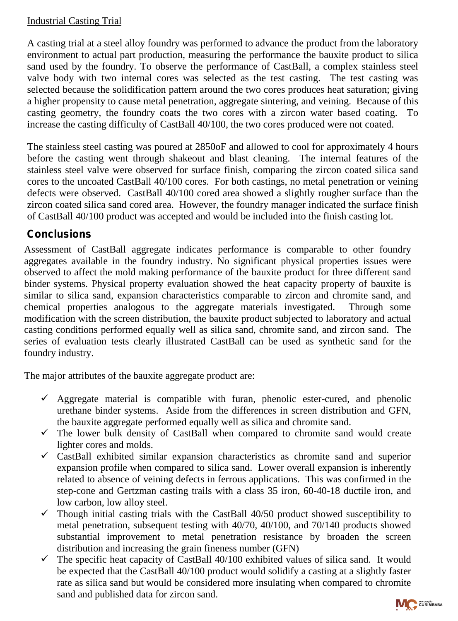## Industrial Casting Trial

A casting trial at a steel alloy foundry was performed to advance the product from the laboratory environment to actual part production, measuring the performance the bauxite product to silica sand used by the foundry. To observe the performance of CastBall, a complex stainless steel valve body with two internal cores was selected as the test casting. The test casting was selected because the solidification pattern around the two cores produces heat saturation; giving a higher propensity to cause metal penetration, aggregate sintering, and veining. Because of this casting geometry, the foundry coats the two cores with a zircon water based coating. To increase the casting difficulty of CastBall 40/100, the two cores produced were not coated.

The stainless steel casting was poured at 2850oF and allowed to cool for approximately 4 hours before the casting went through shakeout and blast cleaning. The internal features of the stainless steel valve were observed for surface finish, comparing the zircon coated silica sand cores to the uncoated CastBall 40/100 cores. For both castings, no metal penetration or veining defects were observed. CastBall 40/100 cored area showed a slightly rougher surface than the zircon coated silica sand cored area. However, the foundry manager indicated the surface finish of CastBall 40/100 product was accepted and would be included into the finish casting lot.

# **Conclusions**

Assessment of CastBall aggregate indicates performance is comparable to other foundry aggregates available in the foundry industry. No significant physical properties issues were observed to affect the mold making performance of the bauxite product for three different sand binder systems. Physical property evaluation showed the heat capacity property of bauxite is similar to silica sand, expansion characteristics comparable to zircon and chromite sand, and chemical properties analogous to the aggregate materials investigated. Through some modification with the screen distribution, the bauxite product subjected to laboratory and actual casting conditions performed equally well as silica sand, chromite sand, and zircon sand. The series of evaluation tests clearly illustrated CastBall can be used as synthetic sand for the foundry industry.

The m ajor attributes of the bauxite aggregate product are:

- $\checkmark$  Aggregate material is compatible with furan, phenolic ester-cured, and phenolic urethane binder systems. Aside from the differences in screen distribution and GFN, the bauxite aggregate performed equally well as silica and chromite sand.
- $\checkmark$  The lower bulk density of CastBall when compared to chromite sand would create lighter cores and molds.
- $\checkmark$  CastBall exhibited similar expansion characteristics as chromite sand and superior expansion profile when compared to silica sand. Lower overall expansion is inherently related to absence of veining defects in ferrous applications. This was confirmed in the step-cone and Gertzman casting trails with a class 35 iron, 60-40-18 ductile iron, and low carbon, low alloy steel.
- $\checkmark$  Though initial casting trials with the CastBall 40/50 product showed susceptibility to metal penetration, subsequent testing with 40/70, 40/100, and 70/140 products showed substantial improvement to metal penetration resistance by broaden the screen distribution and increasing the grain fineness number (GFN)
- $\checkmark$  The specific heat capacity of CastBall 40/100 exhibited values of silica sand. It would be expected that the CastBall 40/100 product would solidify a casting at a slightly faster rate as silica sand but would be considered more insulating when compared to chromite sand and published data for zircon sand.